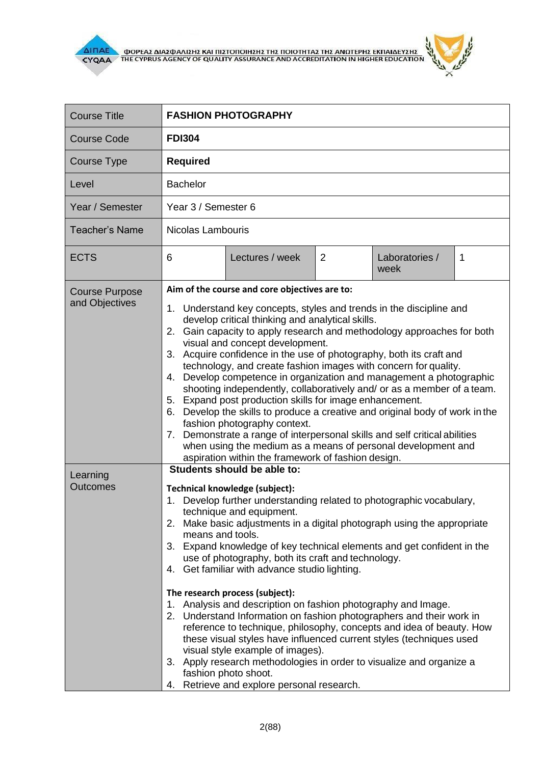

 $\mathcal{L}(\mathcal{A})$ 

i.

٦

| <b>Course Title</b>                                                    | <b>FASHION PHOTOGRAPHY</b>         |                                                                                                                                                                                                                                                                                                                                                                                                                                                                                                                                                                                                                                                                                                                                                                                                                                                                                                                                                                                                                                                                                                                                                                                                                                                                                                                                                                                                                                                                                                                                                                                                                                                                                                                                                                                                                                                                                                      |   |                        |             |
|------------------------------------------------------------------------|------------------------------------|------------------------------------------------------------------------------------------------------------------------------------------------------------------------------------------------------------------------------------------------------------------------------------------------------------------------------------------------------------------------------------------------------------------------------------------------------------------------------------------------------------------------------------------------------------------------------------------------------------------------------------------------------------------------------------------------------------------------------------------------------------------------------------------------------------------------------------------------------------------------------------------------------------------------------------------------------------------------------------------------------------------------------------------------------------------------------------------------------------------------------------------------------------------------------------------------------------------------------------------------------------------------------------------------------------------------------------------------------------------------------------------------------------------------------------------------------------------------------------------------------------------------------------------------------------------------------------------------------------------------------------------------------------------------------------------------------------------------------------------------------------------------------------------------------------------------------------------------------------------------------------------------------|---|------------------------|-------------|
| <b>Course Code</b>                                                     | <b>FDI304</b>                      |                                                                                                                                                                                                                                                                                                                                                                                                                                                                                                                                                                                                                                                                                                                                                                                                                                                                                                                                                                                                                                                                                                                                                                                                                                                                                                                                                                                                                                                                                                                                                                                                                                                                                                                                                                                                                                                                                                      |   |                        |             |
| <b>Course Type</b>                                                     | <b>Required</b>                    |                                                                                                                                                                                                                                                                                                                                                                                                                                                                                                                                                                                                                                                                                                                                                                                                                                                                                                                                                                                                                                                                                                                                                                                                                                                                                                                                                                                                                                                                                                                                                                                                                                                                                                                                                                                                                                                                                                      |   |                        |             |
| Level                                                                  | <b>Bachelor</b>                    |                                                                                                                                                                                                                                                                                                                                                                                                                                                                                                                                                                                                                                                                                                                                                                                                                                                                                                                                                                                                                                                                                                                                                                                                                                                                                                                                                                                                                                                                                                                                                                                                                                                                                                                                                                                                                                                                                                      |   |                        |             |
| Year / Semester                                                        | Year 3 / Semester 6                |                                                                                                                                                                                                                                                                                                                                                                                                                                                                                                                                                                                                                                                                                                                                                                                                                                                                                                                                                                                                                                                                                                                                                                                                                                                                                                                                                                                                                                                                                                                                                                                                                                                                                                                                                                                                                                                                                                      |   |                        |             |
| <b>Teacher's Name</b>                                                  | Nicolas Lambouris                  |                                                                                                                                                                                                                                                                                                                                                                                                                                                                                                                                                                                                                                                                                                                                                                                                                                                                                                                                                                                                                                                                                                                                                                                                                                                                                                                                                                                                                                                                                                                                                                                                                                                                                                                                                                                                                                                                                                      |   |                        |             |
| <b>ECTS</b>                                                            | 6                                  | Lectures / week                                                                                                                                                                                                                                                                                                                                                                                                                                                                                                                                                                                                                                                                                                                                                                                                                                                                                                                                                                                                                                                                                                                                                                                                                                                                                                                                                                                                                                                                                                                                                                                                                                                                                                                                                                                                                                                                                      | 2 | Laboratories /<br>week | $\mathbf 1$ |
| <b>Course Purpose</b><br>and Objectives<br>Learning<br><b>Outcomes</b> | 4.<br>7.<br>1.<br>means and tools. | Aim of the course and core objectives are to:<br>1. Understand key concepts, styles and trends in the discipline and<br>develop critical thinking and analytical skills.<br>2. Gain capacity to apply research and methodology approaches for both<br>visual and concept development.<br>3. Acquire confidence in the use of photography, both its craft and<br>technology, and create fashion images with concern for quality.<br>Develop competence in organization and management a photographic<br>shooting independently, collaboratively and/ or as a member of a team.<br>5. Expand post production skills for image enhancement.<br>6. Develop the skills to produce a creative and original body of work in the<br>fashion photography context.<br>Demonstrate a range of interpersonal skills and self critical abilities<br>when using the medium as a means of personal development and<br>aspiration within the framework of fashion design.<br>Students should be able to:<br>Technical knowledge (subject):<br>Develop further understanding related to photographic vocabulary,<br>technique and equipment.<br>2. Make basic adjustments in a digital photograph using the appropriate<br>3. Expand knowledge of key technical elements and get confident in the<br>use of photography, both its craft and technology.<br>4. Get familiar with advance studio lighting.<br>The research process (subject):<br>1. Analysis and description on fashion photography and Image.<br>2. Understand Information on fashion photographers and their work in<br>reference to technique, philosophy, concepts and idea of beauty. How<br>these visual styles have influenced current styles (techniques used<br>visual style example of images).<br>3. Apply research methodologies in order to visualize and organize a<br>fashion photo shoot.<br>4. Retrieve and explore personal research. |   |                        |             |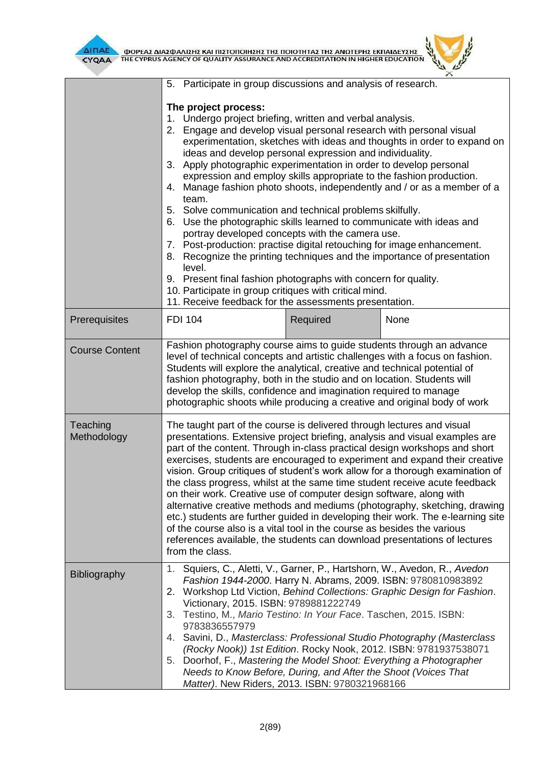

| INAE<br>ΦΟΡΕΑΣ ΔΙΑΣΦΑΛΙΣΗΣ ΚΑΙ ΠΙΣΤΟΠΟΙΗΣΗΣ ΤΗΣ ΠΟΙΟΤΗΤΑΣ ΤΗΣ ΑΝΩΤΕΡΗΣ ΕΚΠΑΙΔΕΥΣΗΣ<br>THE CYPRUS AGENCY OF QUALITY ASSURANCE AND ACCREDITATION IN HIGHER EDUCATION<br><b>CYQAA</b> |                                                                                                                                                                                                                                                                                                                                                                                                                                                                                                                                                                                                                                                                                                                                                                                                                                                                                                                          |          |                                                                                                                                                                                                                                                                                      |  |
|------------------------------------------------------------------------------------------------------------------------------------------------------------------------------------|--------------------------------------------------------------------------------------------------------------------------------------------------------------------------------------------------------------------------------------------------------------------------------------------------------------------------------------------------------------------------------------------------------------------------------------------------------------------------------------------------------------------------------------------------------------------------------------------------------------------------------------------------------------------------------------------------------------------------------------------------------------------------------------------------------------------------------------------------------------------------------------------------------------------------|----------|--------------------------------------------------------------------------------------------------------------------------------------------------------------------------------------------------------------------------------------------------------------------------------------|--|
|                                                                                                                                                                                    | Participate in group discussions and analysis of research.<br>5.<br>The project process:<br>1. Undergo project briefing, written and verbal analysis.<br>Engage and develop visual personal research with personal visual<br>2.<br>ideas and develop personal expression and individuality.<br>3. Apply photographic experimentation in order to develop personal<br>expression and employ skills appropriate to the fashion production.<br>team.<br>5. Solve communication and technical problems skilfully.<br>6. Use the photographic skills learned to communicate with ideas and<br>portray developed concepts with the camera use.<br>7. Post-production: practise digital retouching for image enhancement.<br>8.<br>level.<br>9. Present final fashion photographs with concern for quality.<br>10. Participate in group critiques with critical mind.<br>11. Receive feedback for the assessments presentation. |          | experimentation, sketches with ideas and thoughts in order to expand on<br>4. Manage fashion photo shoots, independently and / or as a member of a<br>Recognize the printing techniques and the importance of presentation                                                           |  |
| Prerequisites                                                                                                                                                                      | <b>FDI 104</b>                                                                                                                                                                                                                                                                                                                                                                                                                                                                                                                                                                                                                                                                                                                                                                                                                                                                                                           | Required | None                                                                                                                                                                                                                                                                                 |  |
| <b>Course Content</b>                                                                                                                                                              | Fashion photography course aims to guide students through an advance<br>level of technical concepts and artistic challenges with a focus on fashion.<br>Students will explore the analytical, creative and technical potential of<br>fashion photography, both in the studio and on location. Students will<br>develop the skills, confidence and imagination required to manage<br>photographic shoots while producing a creative and original body of work                                                                                                                                                                                                                                                                                                                                                                                                                                                             |          |                                                                                                                                                                                                                                                                                      |  |
| Teaching<br>Methodology                                                                                                                                                            | The taught part of the course is delivered through lectures and visual<br>presentations. Extensive project briefing, analysis and visual examples are<br>part of the content. Through in-class practical design workshops and short<br>exercises, students are encouraged to experiment and expand their creative<br>vision. Group critiques of student's work allow for a thorough examination of<br>the class progress, whilst at the same time student receive acute feedback<br>on their work. Creative use of computer design software, along with<br>alternative creative methods and mediums (photography, sketching, drawing<br>etc.) students are further guided in developing their work. The e-learning site<br>of the course also is a vital tool in the course as besides the various<br>references available, the students can download presentations of lectures<br>from the class.                       |          |                                                                                                                                                                                                                                                                                      |  |
| Bibliography                                                                                                                                                                       | 1.<br>2.<br>Victionary, 2015. ISBN: 9789881222749<br>Testino, M., Mario Testino: In Your Face. Taschen, 2015. ISBN:<br>3.<br>9783836557979<br>4. Savini, D., Masterclass: Professional Studio Photography (Masterclass<br>Doorhof, F., Mastering the Model Shoot: Everything a Photographer<br>5.<br>Needs to Know Before, During, and After the Shoot (Voices That<br>Matter). New Riders, 2013. ISBN: 9780321968166                                                                                                                                                                                                                                                                                                                                                                                                                                                                                                    |          | Squiers, C., Aletti, V., Garner, P., Hartshorn, W., Avedon, R., Avedon<br>Fashion 1944-2000. Harry N. Abrams, 2009. ISBN: 9780810983892<br>Workshop Ltd Viction, Behind Collections: Graphic Design for Fashion.<br>(Rocky Nook)) 1st Edition. Rocky Nook, 2012. ISBN: 9781937538071 |  |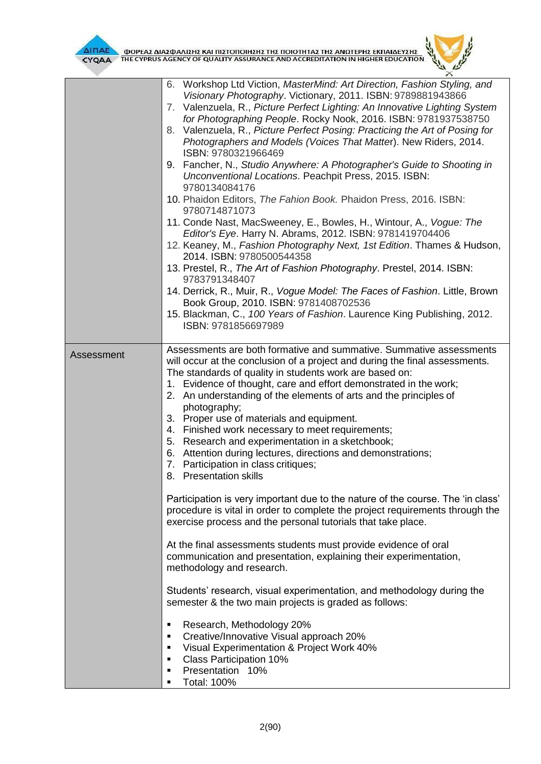

**AITIAE A OOPEAS AIAS DANISHS KAI TIISTOTOIHSHS THS TOIOTHTAS THE ANOTEPHS EKTIAIAEYSHS** 



|            | 6. Workshop Ltd Viction, MasterMind: Art Direction, Fashion Styling, and<br>Visionary Photography. Victionary, 2011. ISBN: 9789881943866<br>7. Valenzuela, R., Picture Perfect Lighting: An Innovative Lighting System<br>for Photographing People. Rocky Nook, 2016. ISBN: 9781937538750<br>8. Valenzuela, R., Picture Perfect Posing: Practicing the Art of Posing for<br>Photographers and Models (Voices That Matter). New Riders, 2014.<br>ISBN: 9780321966469<br>9. Fancher, N., Studio Anywhere: A Photographer's Guide to Shooting in<br>Unconventional Locations. Peachpit Press, 2015. ISBN:<br>9780134084176<br>10. Phaidon Editors, The Fahion Book. Phaidon Press, 2016. ISBN:<br>9780714871073<br>11. Conde Nast, MacSweeney, E., Bowles, H., Wintour, A., Vogue: The<br>Editor's Eye. Harry N. Abrams, 2012. ISBN: 9781419704406<br>12. Keaney, M., Fashion Photography Next, 1st Edition. Thames & Hudson,<br>2014. ISBN: 9780500544358<br>13. Prestel, R., The Art of Fashion Photography. Prestel, 2014. ISBN:<br>9783791348407<br>14. Derrick, R., Muir, R., Vogue Model: The Faces of Fashion. Little, Brown |
|------------|----------------------------------------------------------------------------------------------------------------------------------------------------------------------------------------------------------------------------------------------------------------------------------------------------------------------------------------------------------------------------------------------------------------------------------------------------------------------------------------------------------------------------------------------------------------------------------------------------------------------------------------------------------------------------------------------------------------------------------------------------------------------------------------------------------------------------------------------------------------------------------------------------------------------------------------------------------------------------------------------------------------------------------------------------------------------------------------------------------------------------------|
|            | Book Group, 2010. ISBN: 9781408702536<br>15. Blackman, C., 100 Years of Fashion. Laurence King Publishing, 2012.                                                                                                                                                                                                                                                                                                                                                                                                                                                                                                                                                                                                                                                                                                                                                                                                                                                                                                                                                                                                                 |
|            | ISBN: 9781856697989                                                                                                                                                                                                                                                                                                                                                                                                                                                                                                                                                                                                                                                                                                                                                                                                                                                                                                                                                                                                                                                                                                              |
| Assessment | Assessments are both formative and summative. Summative assessments<br>will occur at the conclusion of a project and during the final assessments.<br>The standards of quality in students work are based on:<br>1. Evidence of thought, care and effort demonstrated in the work;<br>2. An understanding of the elements of arts and the principles of<br>photography;<br>3. Proper use of materials and equipment.<br>4. Finished work necessary to meet requirements;<br>5. Research and experimentation in a sketchbook;<br>6. Attention during lectures, directions and demonstrations;<br>7. Participation in class critiques;<br>8. Presentation skills<br>Participation is very important due to the nature of the course. The 'in class'                                                                                                                                                                                                                                                                                                                                                                                |
|            | procedure is vital in order to complete the project requirements through the<br>exercise process and the personal tutorials that take place.<br>At the final assessments students must provide evidence of oral<br>communication and presentation, explaining their experimentation,                                                                                                                                                                                                                                                                                                                                                                                                                                                                                                                                                                                                                                                                                                                                                                                                                                             |
|            | methodology and research.                                                                                                                                                                                                                                                                                                                                                                                                                                                                                                                                                                                                                                                                                                                                                                                                                                                                                                                                                                                                                                                                                                        |
|            | Students' research, visual experimentation, and methodology during the<br>semester & the two main projects is graded as follows:                                                                                                                                                                                                                                                                                                                                                                                                                                                                                                                                                                                                                                                                                                                                                                                                                                                                                                                                                                                                 |
|            | Research, Methodology 20%<br>٠<br>Creative/Innovative Visual approach 20%<br>٠<br>Visual Experimentation & Project Work 40%<br>٠<br><b>Class Participation 10%</b><br>٠<br>Presentation 10%<br>٠<br><b>Total: 100%</b><br>п                                                                                                                                                                                                                                                                                                                                                                                                                                                                                                                                                                                                                                                                                                                                                                                                                                                                                                      |